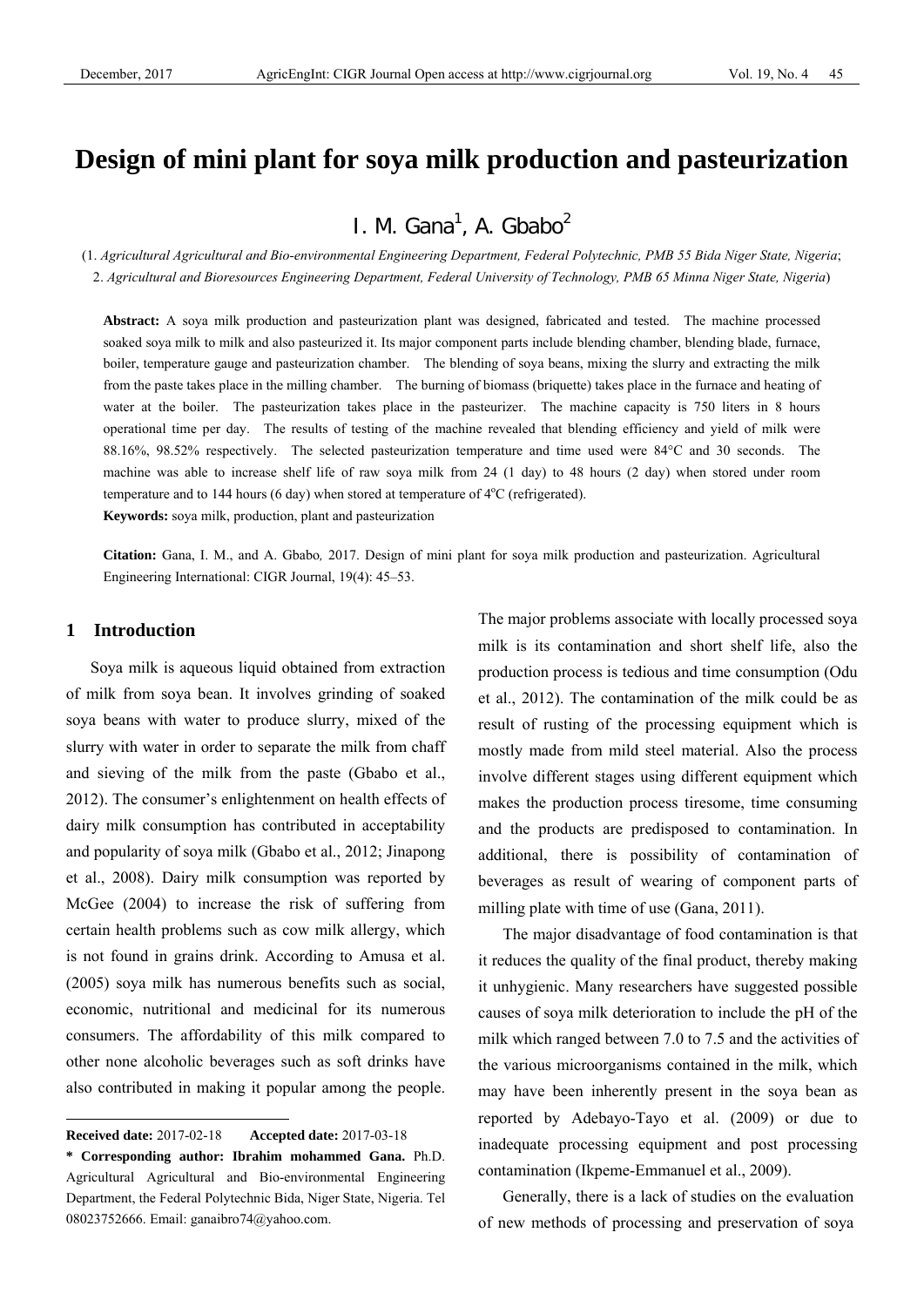# **Design of mini plant for soya milk production and pasteurization**

I. M. Gana<sup>1</sup>, A. Gbabo<sup>2</sup>

(1. *Agricultural Agricultural and Bio-environmental Engineering Department, Federal Polytechnic, PMB 55 Bida Niger State, Nigeria*; 2. *Agricultural and Bioresources Engineering Department, Federal University of Technology, PMB 65 Minna Niger State, Nigeria*)

**Abstract:** A soya milk production and pasteurization plant was designed, fabricated and tested. The machine processed soaked soya milk to milk and also pasteurized it. Its major component parts include blending chamber, blending blade, furnace, boiler, temperature gauge and pasteurization chamber. The blending of soya beans, mixing the slurry and extracting the milk from the paste takes place in the milling chamber. The burning of biomass (briquette) takes place in the furnace and heating of water at the boiler. The pasteurization takes place in the pasteurizer. The machine capacity is 750 liters in 8 hours operational time per day. The results of testing of the machine revealed that blending efficiency and yield of milk were 88.16%, 98.52% respectively. The selected pasteurization temperature and time used were 84°C and 30 seconds. The machine was able to increase shelf life of raw soya milk from 24 (1 day) to 48 hours (2 day) when stored under room temperature and to 144 hours (6 day) when stored at temperature of  $4^{\circ}$ C (refrigerated). **Keywords:** soya milk, production, plant and pasteurization

**Citation:** Gana, I. M., and A. Gbabo*,* 2017. Design of mini plant for soya milk production and pasteurization. Agricultural Engineering International: CIGR Journal, 19(4): 45–53.

### **1 Introduction**

 $\overline{a}$ 

Soya milk is aqueous liquid obtained from extraction of milk from soya bean. It involves grinding of soaked soya beans with water to produce slurry, mixed of the slurry with water in order to separate the milk from chaff and sieving of the milk from the paste (Gbabo et al., 2012). The consumer's enlightenment on health effects of dairy milk consumption has contributed in acceptability and popularity of soya milk (Gbabo et al., 2012; Jinapong et al., 2008). Dairy milk consumption was reported by McGee (2004) to increase the risk of suffering from certain health problems such as cow milk allergy, which is not found in grains drink. According to Amusa et al. (2005) soya milk has numerous benefits such as social, economic, nutritional and medicinal for its numerous consumers. The affordability of this milk compared to other none alcoholic beverages such as soft drinks have also contributed in making it popular among the people.

The major problems associate with locally processed soya milk is its contamination and short shelf life, also the production process is tedious and time consumption (Odu et al., 2012). The contamination of the milk could be as result of rusting of the processing equipment which is mostly made from mild steel material. Also the process involve different stages using different equipment which makes the production process tiresome, time consuming and the products are predisposed to contamination. In additional, there is possibility of contamination of beverages as result of wearing of component parts of milling plate with time of use (Gana, 2011).

The major disadvantage of food contamination is that it reduces the quality of the final product, thereby making it unhygienic. Many researchers have suggested possible causes of soya milk deterioration to include the pH of the milk which ranged between 7.0 to 7.5 and the activities of the various microorganisms contained in the milk, which may have been inherently present in the soya bean as reported by Adebayo-Tayo et al. (2009) or due to inadequate processing equipment and post processing contamination (Ikpeme-Emmanuel et al., 2009).

Generally, there is a lack of studies on the evaluation of new methods of processing and preservation of soya

**Received date:** 2017-02-18 **Accepted date:** 2017-03-18

**<sup>\*</sup> Corresponding author: Ibrahim mohammed Gana.** Ph.D. Agricultural Agricultural and Bio-environmental Engineering Department, the Federal Polytechnic Bida, Niger State, Nigeria. Tel 08023752666. Email: ganaibro74@yahoo.com.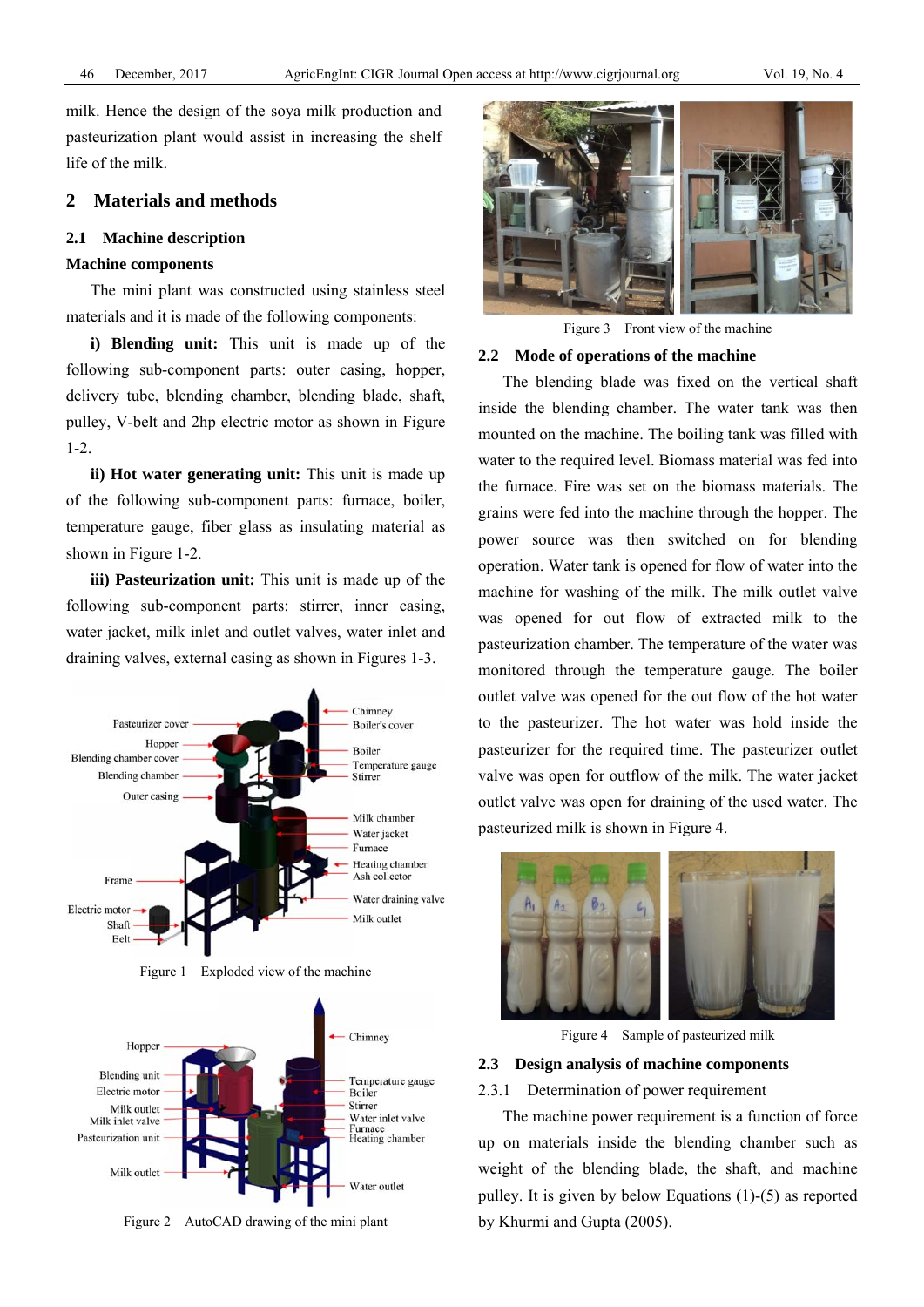milk. Hence the design of the soya milk production and pasteurization plant would assist in increasing the shelf life of the milk.

# **2 Materials and methods**

#### **2.1 Machine description**

### **Machine components**

The mini plant was constructed using stainless steel materials and it is made of the following components:

**i) Blending unit:** This unit is made up of the following sub-component parts: outer casing, hopper, delivery tube, blending chamber, blending blade, shaft, pulley, V-belt and 2hp electric motor as shown in Figure 1-2.

**ii) Hot water generating unit:** This unit is made up of the following sub-component parts: furnace, boiler, temperature gauge, fiber glass as insulating material as shown in Figure 1-2.

**iii) Pasteurization unit:** This unit is made up of the following sub-component parts: stirrer, inner casing, water jacket, milk inlet and outlet valves, water inlet and draining valves, external casing as shown in Figures 1-3.



Figure 1 Exploded view of the machine



Figure 2 AutoCAD drawing of the mini plant



Figure 3 Front view of the machine

# **2.2 Mode of operations of the machine**

The blending blade was fixed on the vertical shaft inside the blending chamber. The water tank was then mounted on the machine. The boiling tank was filled with water to the required level. Biomass material was fed into the furnace. Fire was set on the biomass materials. The grains were fed into the machine through the hopper. The power source was then switched on for blending operation. Water tank is opened for flow of water into the machine for washing of the milk. The milk outlet valve was opened for out flow of extracted milk to the pasteurization chamber. The temperature of the water was monitored through the temperature gauge. The boiler outlet valve was opened for the out flow of the hot water to the pasteurizer. The hot water was hold inside the pasteurizer for the required time. The pasteurizer outlet valve was open for outflow of the milk. The water jacket outlet valve was open for draining of the used water. The pasteurized milk is shown in Figure 4.



Figure 4 Sample of pasteurized milk

### **2.3 Design analysis of machine components**

### 2.3.1 Determination of power requirement

The machine power requirement is a function of force up on materials inside the blending chamber such as weight of the blending blade, the shaft, and machine pulley. It is given by below Equations (1)-(5) as reported by Khurmi and Gupta (2005).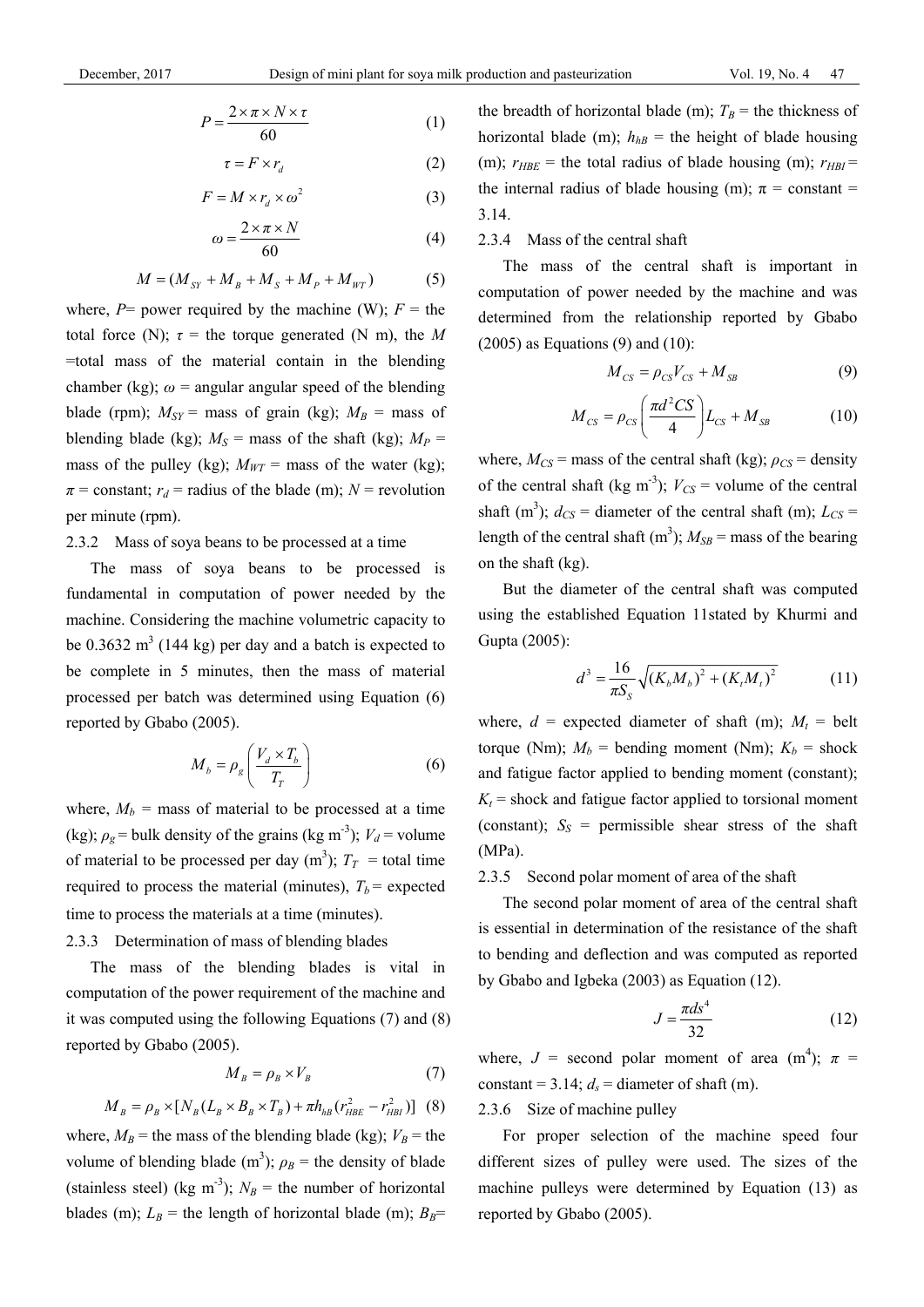$$
P = \frac{2 \times \pi \times N \times \tau}{60} \tag{1}
$$

$$
\tau = F \times r_d \tag{2}
$$

$$
F = M \times r_d \times \omega^2 \tag{3}
$$

$$
\omega = \frac{2 \times \pi \times N}{60} \tag{4}
$$

$$
M = (M_{SY} + M_B + M_S + M_P + M_{WT})
$$
 (5)

where,  $P=$  power required by the machine (W);  $F=$  the total force (N);  $\tau$  = the torque generated (N m), the *M* =total mass of the material contain in the blending chamber (kg);  $\omega$  = angular angular speed of the blending blade (rpm);  $M_{SY}$  = mass of grain (kg);  $M_B$  = mass of blending blade (kg);  $M_S$  = mass of the shaft (kg);  $M_P$  = mass of the pulley (kg);  $M_{WT}$  = mass of the water (kg);  $\pi$  = constant;  $r_d$  = radius of the blade (m); *N* = revolution per minute (rpm).

### 2.3.2 Mass of soya beans to be processed at a time

The mass of soya beans to be processed is fundamental in computation of power needed by the machine. Considering the machine volumetric capacity to be 0.3632  $m<sup>3</sup>$  (144 kg) per day and a batch is expected to be complete in 5 minutes, then the mass of material processed per batch was determined using Equation (6) reported by Gbabo (2005).

$$
M_b = \rho_g \left( \frac{V_d \times T_b}{T_T} \right) \tag{6}
$$

where,  $M_b$  = mass of material to be processed at a time (kg);  $\rho_g$  = bulk density of the grains (kg m<sup>-3</sup>);  $V_d$  = volume of material to be processed per day  $(m^3)$ ;  $T_T$  = total time required to process the material (minutes),  $T_b$  = expected time to process the materials at a time (minutes).

# 2.3.3 Determination of mass of blending blades

The mass of the blending blades is vital in computation of the power requirement of the machine and it was computed using the following Equations (7) and (8) reported by Gbabo (2005).

$$
M_{B} = \rho_{B} \times V_{B} \tag{7}
$$

$$
M_B = \rho_B \times [N_B (L_B \times B_B \times T_B) + \pi h_{hB} (r_{HBE}^2 - r_{HBI}^2)]
$$
 (8)

where,  $M_B$  = the mass of the blending blade (kg);  $V_B$  = the volume of blending blade (m<sup>3</sup>);  $\rho_B$  = the density of blade (stainless steel) (kg m<sup>-3</sup>);  $N_B$  = the number of horizontal blades (m);  $L_B$  = the length of horizontal blade (m);  $B_B$ =

the breadth of horizontal blade (m);  $T_B$  = the thickness of horizontal blade (m);  $h_{hB}$  = the height of blade housing (m);  $r_{HBE}$  = the total radius of blade housing (m);  $r_{HBI}$  = the internal radius of blade housing (m);  $\pi$  = constant = 3.14.

### 2.3.4 Mass of the central shaft

The mass of the central shaft is important in computation of power needed by the machine and was determined from the relationship reported by Gbabo  $(2005)$  as Equations  $(9)$  and  $(10)$ :

$$
M_{CS} = \rho_{CS} V_{CS} + M_{SB} \tag{9}
$$

$$
M_{CS} = \rho_{CS} \left( \frac{\pi d^2 CS}{4} \right) L_{CS} + M_{SB} \tag{10}
$$

where,  $M_{CS}$  = mass of the central shaft (kg);  $\rho_{CS}$  = density of the central shaft (kg m<sup>-3</sup>);  $V_{CS}$  = volume of the central shaft (m<sup>3</sup>);  $d_{CS}$  = diameter of the central shaft (m);  $L_{CS}$  = length of the central shaft  $(m^3)$ ;  $M_{SB}$  = mass of the bearing on the shaft (kg).

But the diameter of the central shaft was computed using the established Equation 11stated by Khurmi and Gupta (2005):

$$
d^{3} = \frac{16}{\pi S_{S}} \sqrt{(K_{b}M_{b})^{2} + (K_{t}M_{t})^{2}}
$$
 (11)

where,  $d =$  expected diameter of shaft (m);  $M_t =$  belt torque (Nm);  $M_b$  = bending moment (Nm);  $K_b$  = shock and fatigue factor applied to bending moment (constant);  $K_t$  = shock and fatigue factor applied to torsional moment (constant);  $S_S$  = permissible shear stress of the shaft (MPa).

### 2.3.5 Second polar moment of area of the shaft

The second polar moment of area of the central shaft is essential in determination of the resistance of the shaft to bending and deflection and was computed as reported by Gbabo and Igbeka (2003) as Equation (12).

$$
J = \frac{\pi d s^4}{32} \tag{12}
$$

where,  $J =$  second polar moment of area (m<sup>4</sup>);  $\pi =$ constant =  $3.14$ ;  $d_s$  = diameter of shaft (m).

2.3.6 Size of machine pulley

For proper selection of the machine speed four different sizes of pulley were used. The sizes of the machine pulleys were determined by Equation (13) as reported by Gbabo (2005).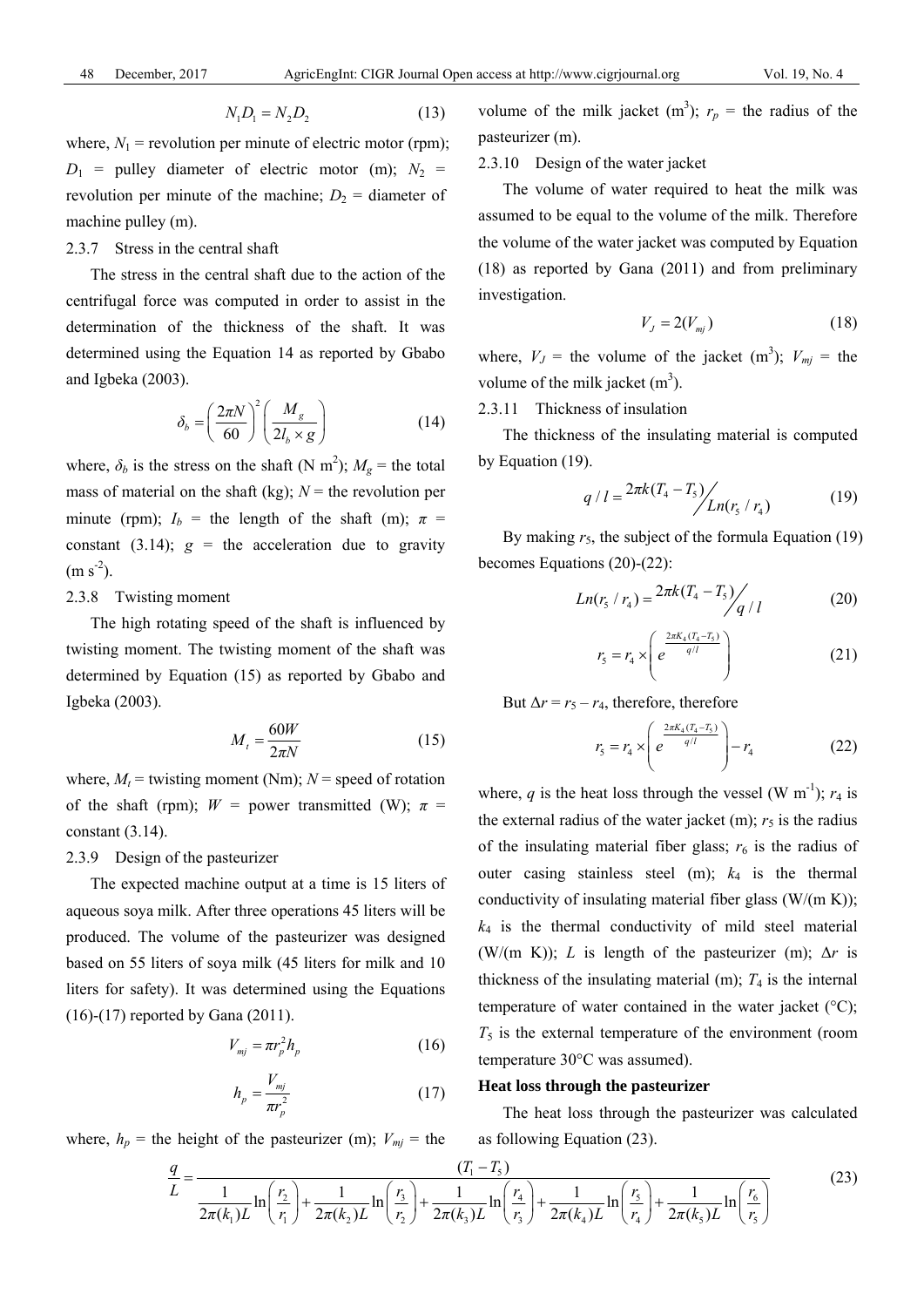$$
N_1 D_1 = N_2 D_2 \tag{13}
$$

where,  $N_1$  = revolution per minute of electric motor (rpm);  $D_1$  = pulley diameter of electric motor (m);  $N_2$  = revolution per minute of the machine;  $D_2$  = diameter of machine pulley (m).

# 2.3.7 Stress in the central shaft

The stress in the central shaft due to the action of the centrifugal force was computed in order to assist in the determination of the thickness of the shaft. It was determined using the Equation 14 as reported by Gbabo and Igbeka (2003).

$$
\delta_b = \left(\frac{2\pi N}{60}\right)^2 \left(\frac{M_g}{2l_b \times g}\right) \tag{14}
$$

where,  $\delta_b$  is the stress on the shaft (N m<sup>2</sup>);  $M_g$  = the total mass of material on the shaft (kg);  $N =$  the revolution per minute (rpm);  $I_b$  = the length of the shaft (m);  $\pi$  = constant (3.14);  $g =$  the acceleration due to gravity  $(m s<sup>-2</sup>).$ 

### 2.3.8 Twisting moment

The high rotating speed of the shaft is influenced by twisting moment. The twisting moment of the shaft was determined by Equation (15) as reported by Gbabo and Igbeka (2003).

$$
M_t = \frac{60W}{2\pi N} \tag{15}
$$

where,  $M_t$  = twisting moment (Nm);  $N$  = speed of rotation of the shaft (rpm);  $W =$  power transmitted (W);  $\pi =$ constant (3.14).

### 2.3.9 Design of the pasteurizer

The expected machine output at a time is 15 liters of aqueous soya milk. After three operations 45 liters will be produced. The volume of the pasteurizer was designed based on 55 liters of soya milk (45 liters for milk and 10 liters for safety). It was determined using the Equations (16)-(17) reported by Gana (2011).

$$
V_{mj} = \pi r_p^2 h_p \tag{16}
$$

$$
h_p = \frac{V_{mj}}{\pi r_p^2} \tag{17}
$$

where,  $h_p$  = the height of the pasteurizer (m);  $V_{mj}$  = the

volume of the milk jacket  $(m^3)$ ;  $r_p$  = the radius of the pasteurizer (m).

# 2.3.10 Design of the water jacket

The volume of water required to heat the milk was assumed to be equal to the volume of the milk. Therefore the volume of the water jacket was computed by Equation (18) as reported by Gana (2011) and from preliminary investigation.

$$
V_J = 2(V_{mj})\tag{18}
$$

where,  $V_J$  = the volume of the jacket (m<sup>3</sup>);  $V_{mj}$  = the volume of the milk jacket  $(m<sup>3</sup>)$ .

2.3.11 Thickness of insulation

The thickness of the insulating material is computed by Equation (19).

$$
q / l = \frac{2\pi k (T_4 - T_5)}{\pi} / \frac{L n (r_5 / r_4)}{L n (r_5 / r_4)}
$$
(19)

By making  $r_5$ , the subject of the formula Equation (19) becomes Equations (20)-(22):

$$
Ln(r_{5}/r_{4}) = \frac{2\pi k(T_{4} - T_{5})}{q/l}
$$
 (20)

$$
r_{5} = r_{4} \times \left(e^{\frac{2\pi K_{4}(T_{4} - T_{5})}{q/l}}\right)
$$
 (21)

But  $\Delta r = r_5 - r_4$ , therefore, therefore

$$
r_{5} = r_{4} \times \left(e^{\frac{2\pi K_{4}(T_{4} - T_{5})}{q/l}}\right) - r_{4}
$$
 (22)

where,  $q$  is the heat loss through the vessel (W m<sup>-1</sup>);  $r_4$  is the external radius of the water jacket  $(m)$ ;  $r<sub>5</sub>$  is the radius of the insulating material fiber glass;  $r<sub>6</sub>$  is the radius of outer casing stainless steel (m); *k*4 is the thermal conductivity of insulating material fiber glass  $(W/(m K))$ ;  $k_4$  is the thermal conductivity of mild steel material (W/(m K)); *L* is length of the pasteurizer (m);  $\Delta r$  is thickness of the insulating material  $(m)$ ;  $T_4$  is the internal temperature of water contained in the water jacket  $(°C)$ ;  $T_5$  is the external temperature of the environment (room temperature 30°C was assumed).

### **Heat loss through the pasteurizer**

The heat loss through the pasteurizer was calculated as following Equation (23).

$$
\frac{q}{L} = \frac{(T_1 - T_5)}{2\pi(k_1)L} \ln\left(\frac{r_2}{r_1}\right) + \frac{1}{2\pi(k_2)L} \ln\left(\frac{r_3}{r_2}\right) + \frac{1}{2\pi(k_3)L} \ln\left(\frac{r_4}{r_3}\right) + \frac{1}{2\pi(k_4)L} \ln\left(\frac{r_5}{r_4}\right) + \frac{1}{2\pi(k_5)L} \ln\left(\frac{r_6}{r_5}\right)
$$
(23)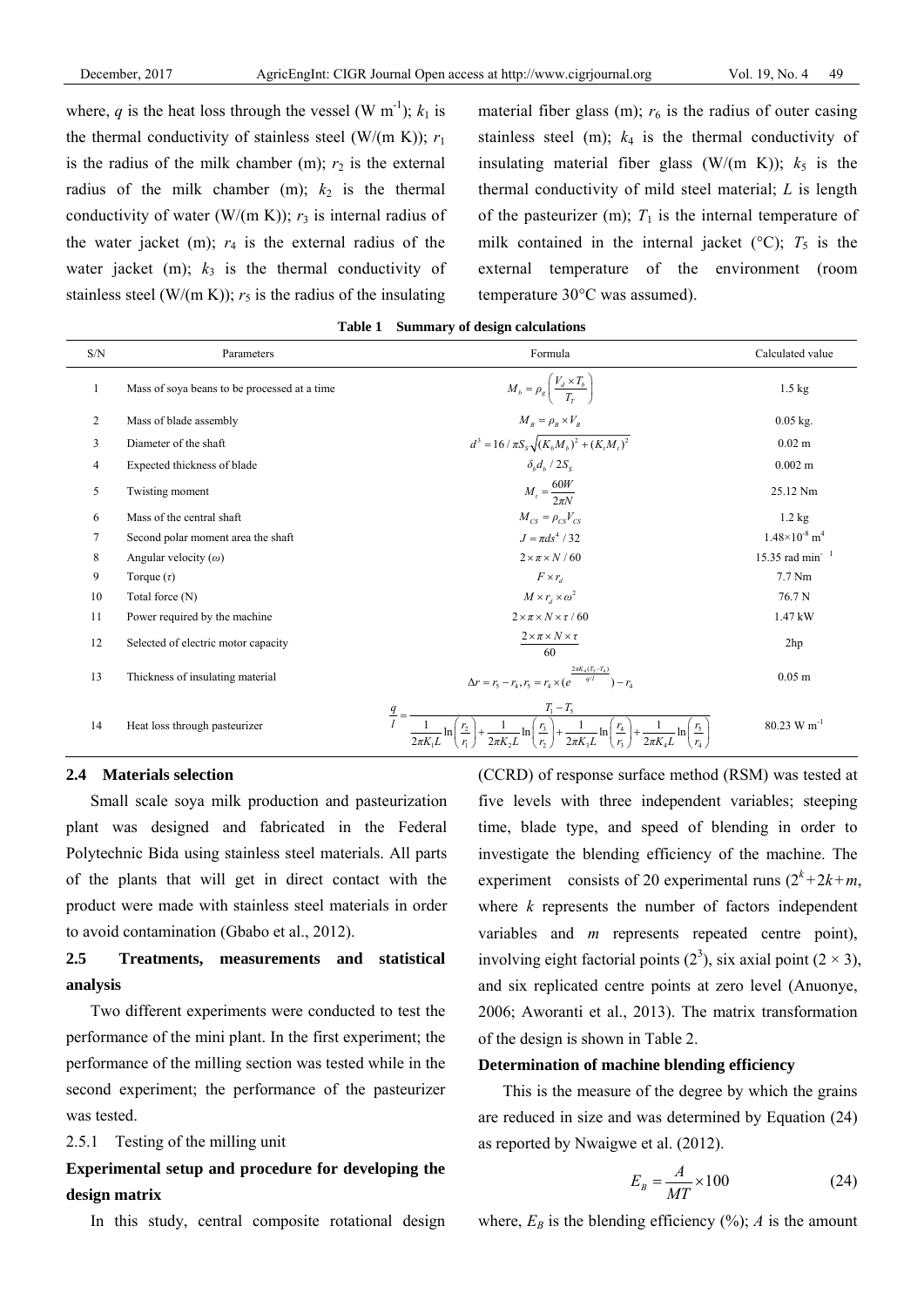where, *q* is the heat loss through the vessel (W m<sup>-1</sup>);  $k_1$  is the thermal conductivity of stainless steel (W/(m K));  $r_1$ is the radius of the milk chamber  $(m)$ ;  $r_2$  is the external radius of the milk chamber  $(m)$ ;  $k_2$  is the thermal conductivity of water (W/(m K));  $r_3$  is internal radius of the water jacket  $(m)$ ;  $r_4$  is the external radius of the water jacket (m);  $k_3$  is the thermal conductivity of stainless steel (W/(m K));  $r_5$  is the radius of the insulating material fiber glass (m);  $r<sub>6</sub>$  is the radius of outer casing stainless steel (m);  $k_4$  is the thermal conductivity of insulating material fiber glass (W/(m K));  $k_5$  is the thermal conductivity of mild steel material; *L* is length of the pasteurizer (m);  $T_1$  is the internal temperature of milk contained in the internal jacket ( $\rm{^{\circ}C}$ );  $T_{5}$  is the external temperature of the environment (room temperature 30°C was assumed).

| $\ensuremath{\mathrm{S/N}}$ | Parameters                                   | Formula                                                                                                                                                                                | Calculated value                          |  |  |  |  |  |  |
|-----------------------------|----------------------------------------------|----------------------------------------------------------------------------------------------------------------------------------------------------------------------------------------|-------------------------------------------|--|--|--|--|--|--|
| 1                           | Mass of soya beans to be processed at a time | $M_b = \rho_g \left( \frac{V_d \times T_b}{T_r} \right)$                                                                                                                               | $1.5 \text{ kg}$                          |  |  |  |  |  |  |
| 2                           | Mass of blade assembly                       | $M_B = \rho_B \times V_B$                                                                                                                                                              | $0.05$ kg.                                |  |  |  |  |  |  |
| $\overline{3}$              | Diameter of the shaft                        | $d^{3} = 16 / \pi S_{s} \sqrt{(K_{b}M_{b})^{2} + (K_{t}M_{t})^{2}}$                                                                                                                    | $0.02 \text{ m}$                          |  |  |  |  |  |  |
| 4                           | Expected thickness of blade                  | $\delta_h d_b / 2S_s$                                                                                                                                                                  | $0.002 \; m$                              |  |  |  |  |  |  |
| 5                           | Twisting moment                              | $M_t = \frac{60W}{2\pi N}$                                                                                                                                                             | 25.12 Nm                                  |  |  |  |  |  |  |
| 6                           | Mass of the central shaft                    | $M_{CS} = \rho_{CS} V_{CS}$                                                                                                                                                            | $1.2 \text{ kg}$                          |  |  |  |  |  |  |
| 7                           | Second polar moment area the shaft           | $J = \pi ds^4 / 32$                                                                                                                                                                    | $1.48\times10^{-8}$ m <sup>4</sup>        |  |  |  |  |  |  |
| 8                           | Angular velocity $(\omega)$                  | $2 \times \pi \times N / 60$                                                                                                                                                           | 15.35 rad min <sup>-1</sup>               |  |  |  |  |  |  |
| 9                           | Torque $(\tau)$                              | $F \times r_a$                                                                                                                                                                         | 7.7 Nm                                    |  |  |  |  |  |  |
| 10                          | Total force (N)                              | $M \times r_d \times \omega^2$                                                                                                                                                         | 76.7 N                                    |  |  |  |  |  |  |
| 11                          | Power required by the machine                | $2 \times \pi \times N \times \tau / 60$                                                                                                                                               | 1.47 kW                                   |  |  |  |  |  |  |
| 12                          | Selected of electric motor capacity          | $2 \times \pi \times N \times \tau$<br>60                                                                                                                                              | 2hp                                       |  |  |  |  |  |  |
| 13                          | Thickness of insulating material             | $\Delta r = r_5 - r_4, r_5 = r_4 \times (e^{\frac{2\pi K_4 (T_5 - T_4)}{q/l}}) - r_4$                                                                                                  | $0.05$ m                                  |  |  |  |  |  |  |
| 14                          | Heat loss through pasteurizer                | $T_1 - T_5$<br>$\frac{q}{q}$ =<br>$\frac{r_3}{r_2}$<br>$\frac{r_2}{r_1}$<br>$\frac{r_{5}}{r_{1}}$<br>$\frac{r_4}{r_3}$<br>$2\pi K, L$<br>$2\pi K_{1}L$<br>$2\pi K_1L$<br>$2\pi K_{A}L$ | $80.23~\mathrm{W}~\mathrm{m}^{\text{-}1}$ |  |  |  |  |  |  |

# **Table 1 Summary of design calculations**

### **2.4 Materials selection**

Small scale soya milk production and pasteurization plant was designed and fabricated in the Federal Polytechnic Bida using stainless steel materials. All parts of the plants that will get in direct contact with the product were made with stainless steel materials in order to avoid contamination (Gbabo et al., 2012).

# **2.5 Treatments, measurements and statistical analysis**

Two different experiments were conducted to test the performance of the mini plant. In the first experiment; the performance of the milling section was tested while in the second experiment; the performance of the pasteurizer was tested.

### 2.5.1 Testing of the milling unit

# **Experimental setup and procedure for developing the design matrix**

In this study, central composite rotational design

(CCRD) of response surface method (RSM) was tested at five levels with three independent variables; steeping time, blade type, and speed of blending in order to investigate the blending efficiency of the machine. The experiment consists of 20 experimental runs  $(2^k + 2k + m,$ where *k* represents the number of factors independent variables and *m* represents repeated centre point), involving eight factorial points  $(2^3)$ , six axial point  $(2 \times 3)$ , and six replicated centre points at zero level (Anuonye, 2006; Aworanti et al., 2013). The matrix transformation of the design is shown in Table 2.

# **Determination of machine blending efficiency**

This is the measure of the degree by which the grains are reduced in size and was determined by Equation (24) as reported by Nwaigwe et al. (2012).

$$
E_B = \frac{A}{MT} \times 100\tag{24}
$$

where,  $E_B$  is the blending efficiency  $(\%)$ ; *A* is the amount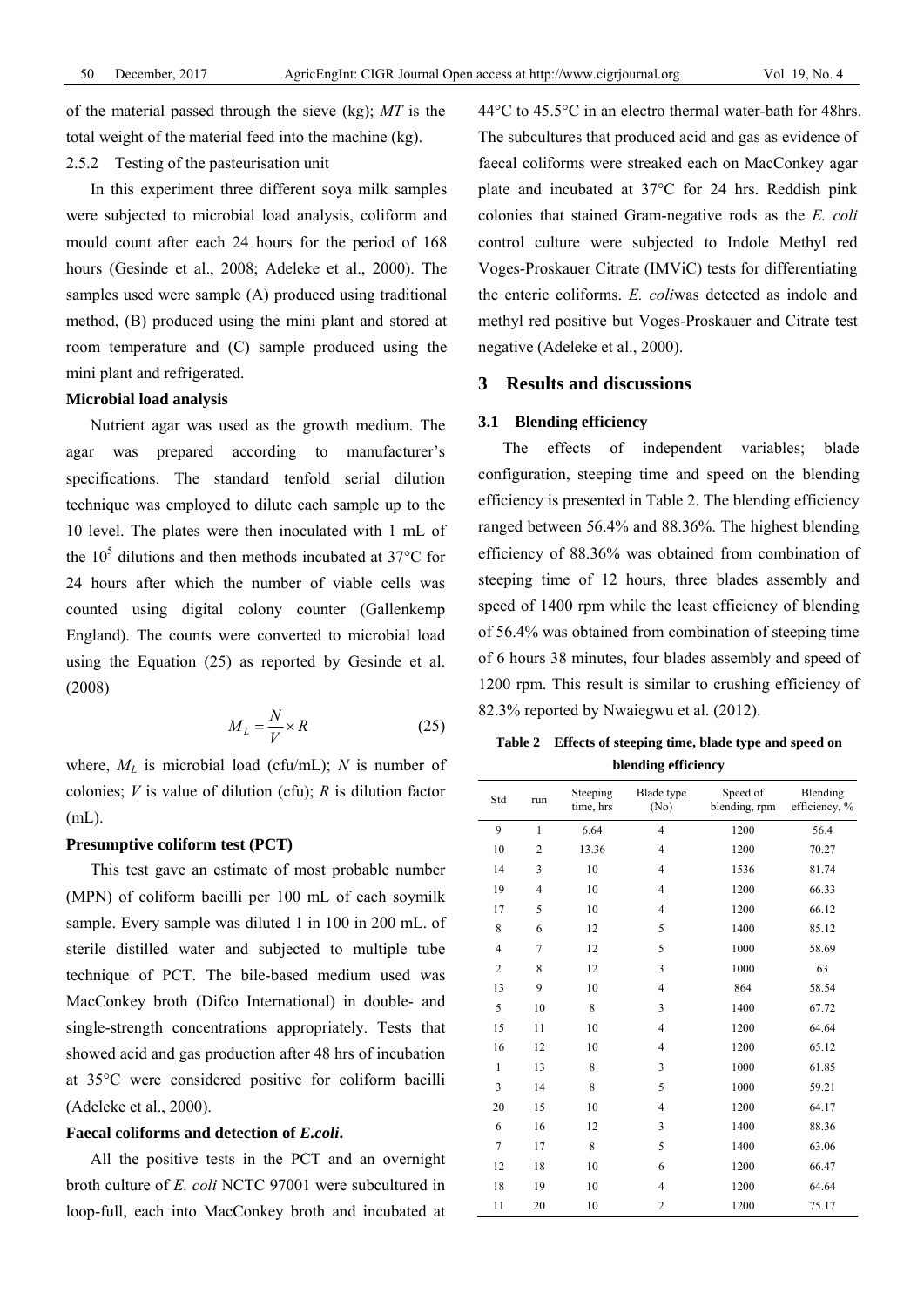of the material passed through the sieve (kg); *MT* is the total weight of the material feed into the machine (kg).

# 2.5.2 Testing of the pasteurisation unit

In this experiment three different soya milk samples were subjected to microbial load analysis, coliform and mould count after each 24 hours for the period of 168 hours (Gesinde et al., 2008; Adeleke et al., 2000). The samples used were sample (A) produced using traditional method, (B) produced using the mini plant and stored at room temperature and (C) sample produced using the mini plant and refrigerated.

# **Microbial load analysis**

Nutrient agar was used as the growth medium. The agar was prepared according to manufacturer's specifications. The standard tenfold serial dilution technique was employed to dilute each sample up to the 10 level. The plates were then inoculated with 1 mL of the  $10<sup>5</sup>$  dilutions and then methods incubated at 37 $\degree$ C for 24 hours after which the number of viable cells was counted using digital colony counter (Gallenkemp England). The counts were converted to microbial load using the Equation (25) as reported by Gesinde et al. (2008)

$$
M_L = \frac{N}{V} \times R \tag{25}
$$

where, *ML* is microbial load (cfu/mL); *N* is number of colonies; *V* is value of dilution (cfu); *R* is dilution factor (mL).

### **Presumptive coliform test (PCT)**

This test gave an estimate of most probable number (MPN) of coliform bacilli per 100 mL of each soymilk sample. Every sample was diluted 1 in 100 in 200 mL. of sterile distilled water and subjected to multiple tube technique of PCT. The bile-based medium used was MacConkey broth (Difco International) in double- and single-strength concentrations appropriately. Tests that showed acid and gas production after 48 hrs of incubation at 35°C were considered positive for coliform bacilli (Adeleke et al., 2000).

### **Faecal coliforms and detection of** *E.coli***.**

All the positive tests in the PCT and an overnight broth culture of *E. coli* NCTC 97001 were subcultured in loop-full, each into MacConkey broth and incubated at 44°C to 45.5°C in an electro thermal water-bath for 48hrs. The subcultures that produced acid and gas as evidence of faecal coliforms were streaked each on MacConkey agar plate and incubated at 37°C for 24 hrs. Reddish pink colonies that stained Gram-negative rods as the *E. coli* control culture were subjected to Indole Methyl red Voges-Proskauer Citrate (IMViC) tests for differentiating the enteric coliforms. *E. coli*was detected as indole and methyl red positive but Voges-Proskauer and Citrate test negative (Adeleke et al., 2000).

# **3 Results and discussions**

#### **3.1 Blending efficiency**

The effects of independent variables; blade configuration, steeping time and speed on the blending efficiency is presented in Table 2. The blending efficiency ranged between 56.4% and 88.36%. The highest blending efficiency of 88.36% was obtained from combination of steeping time of 12 hours, three blades assembly and speed of 1400 rpm while the least efficiency of blending of 56.4% was obtained from combination of steeping time of 6 hours 38 minutes, four blades assembly and speed of 1200 rpm. This result is similar to crushing efficiency of 82.3% reported by Nwaiegwu et al. (2012).

**Table 2 Effects of steeping time, blade type and speed on blending efficiency** 

| Std            | run            | Steeping<br>time, hrs | Blade type<br>(No) | Speed of<br>blending, rpm | Blending<br>efficiency, % |
|----------------|----------------|-----------------------|--------------------|---------------------------|---------------------------|
| 9              | $\mathbf{1}$   | 6.64                  | $\overline{4}$     | 1200                      | 56.4                      |
| 10             | 2              | 13.36                 | $\overline{4}$     | 1200                      | 70.27                     |
| 14             | 3              | 10                    | $\overline{4}$     | 1536                      | 81.74                     |
| 19             | $\overline{4}$ | 10                    | $\overline{4}$     | 1200                      | 66.33                     |
| 17             | 5              | 10                    | $\overline{4}$     | 1200                      | 66.12                     |
| 8              | 6              | 12                    | 5                  | 1400                      | 85.12                     |
| $\overline{4}$ | 7              | 12                    | 5                  | 1000                      | 58.69                     |
| 2              | 8              | 12                    | 3                  | 1000                      | 63                        |
| 13             | 9              | 10                    | $\overline{4}$     | 864                       | 58.54                     |
| 5              | 10             | 8                     | 3                  | 1400                      | 67.72                     |
| 15             | 11             | 10                    | $\overline{4}$     | 1200                      | 64.64                     |
| 16             | 12             | 10                    | $\overline{4}$     | 1200                      | 65.12                     |
| 1              | 13             | 8                     | 3                  | 1000                      | 61.85                     |
| 3              | 14             | 8                     | 5                  | 1000                      | 59.21                     |
| 20             | 15             | 10                    | $\overline{4}$     | 1200                      | 64.17                     |
| 6              | 16             | 12                    | 3                  | 1400                      | 88.36                     |
| $\overline{7}$ | 17             | 8                     | 5                  | 1400                      | 63.06                     |
| 12             | 18             | 10                    | 6                  | 1200                      | 66.47                     |
| 18             | 19             | 10                    | $\overline{4}$     | 1200                      | 64.64                     |
| 11             | 20             | 10                    | $\overline{2}$     | 1200                      | 75.17                     |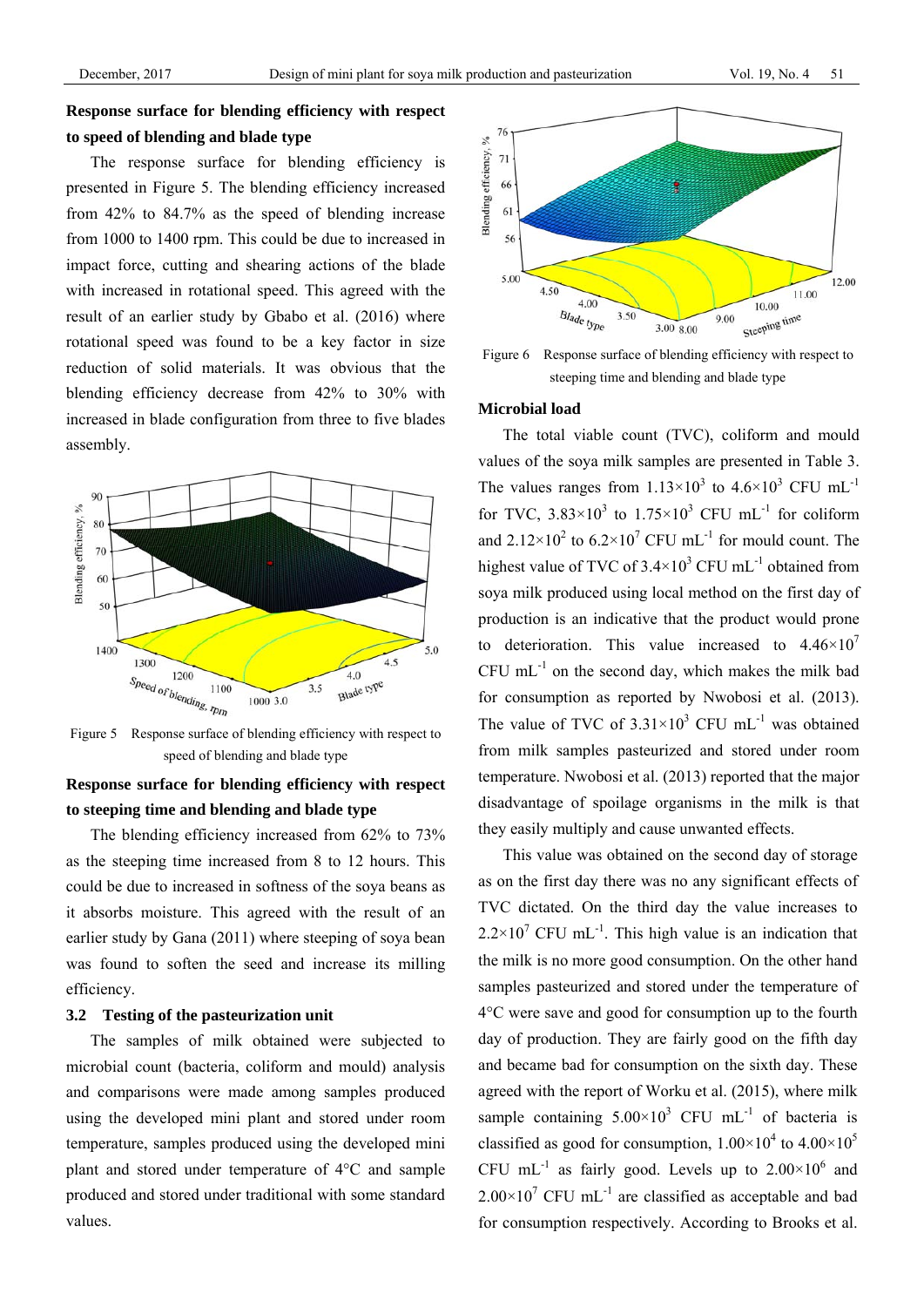# **Response surface for blending efficiency with respect to speed of blending and blade type**

The response surface for blending efficiency is presented in Figure 5. The blending efficiency increased from 42% to 84.7% as the speed of blending increase from 1000 to 1400 rpm. This could be due to increased in impact force, cutting and shearing actions of the blade with increased in rotational speed. This agreed with the result of an earlier study by Gbabo et al. (2016) where rotational speed was found to be a key factor in size reduction of solid materials. It was obvious that the blending efficiency decrease from 42% to 30% with increased in blade configuration from three to five blades assembly.



Figure 5 Response surface of blending efficiency with respect to speed of blending and blade type

# **Response surface for blending efficiency with respect to steeping time and blending and blade type**

The blending efficiency increased from 62% to 73% as the steeping time increased from 8 to 12 hours. This could be due to increased in softness of the soya beans as it absorbs moisture. This agreed with the result of an earlier study by Gana (2011) where steeping of soya bean was found to soften the seed and increase its milling efficiency.

### **3.2 Testing of the pasteurization unit**

The samples of milk obtained were subjected to microbial count (bacteria, coliform and mould) analysis and comparisons were made among samples produced using the developed mini plant and stored under room temperature, samples produced using the developed mini plant and stored under temperature of 4°C and sample produced and stored under traditional with some standard values.



Figure 6 Response surface of blending efficiency with respect to steeping time and blending and blade type

### **Microbial load**

The total viable count (TVC), coliform and mould values of the soya milk samples are presented in Table 3. The values ranges from  $1.13 \times 10^3$  to  $4.6 \times 10^3$  CFU mL<sup>-1</sup> for TVC,  $3.83 \times 10^3$  to  $1.75 \times 10^3$  CFU mL<sup>-1</sup> for coliform and  $2.12 \times 10^2$  to  $6.2 \times 10^7$  CFU mL<sup>-1</sup> for mould count. The highest value of TVC of  $3.4 \times 10^3$  CFU mL<sup>-1</sup> obtained from soya milk produced using local method on the first day of production is an indicative that the product would prone to deterioration. This value increased to  $4.46 \times 10^{7}$  $CFU$  mL $^{-1}$  on the second day, which makes the milk bad for consumption as reported by Nwobosi et al. (2013). The value of TVC of  $3.31 \times 10^3$  CFU mL<sup>-1</sup> was obtained from milk samples pasteurized and stored under room temperature. Nwobosi et al. (2013) reported that the major disadvantage of spoilage organisms in the milk is that they easily multiply and cause unwanted effects.

This value was obtained on the second day of storage as on the first day there was no any significant effects of TVC dictated. On the third day the value increases to  $2.2 \times 10^7$  CFU mL<sup>-1</sup>. This high value is an indication that the milk is no more good consumption. On the other hand samples pasteurized and stored under the temperature of 4°C were save and good for consumption up to the fourth day of production. They are fairly good on the fifth day and became bad for consumption on the sixth day. These agreed with the report of Worku et al. (2015), where milk sample containing  $5.00 \times 10^3$  CFU mL<sup>-1</sup> of bacteria is classified as good for consumption,  $1.00\times10^4$  to  $4.00\times10^5$ CFU mL<sup>-1</sup> as fairly good. Levels up to  $2.00 \times 10^6$  and  $2.00\times10^{7}$  CFU mL<sup>-1</sup> are classified as acceptable and bad for consumption respectively. According to Brooks et al.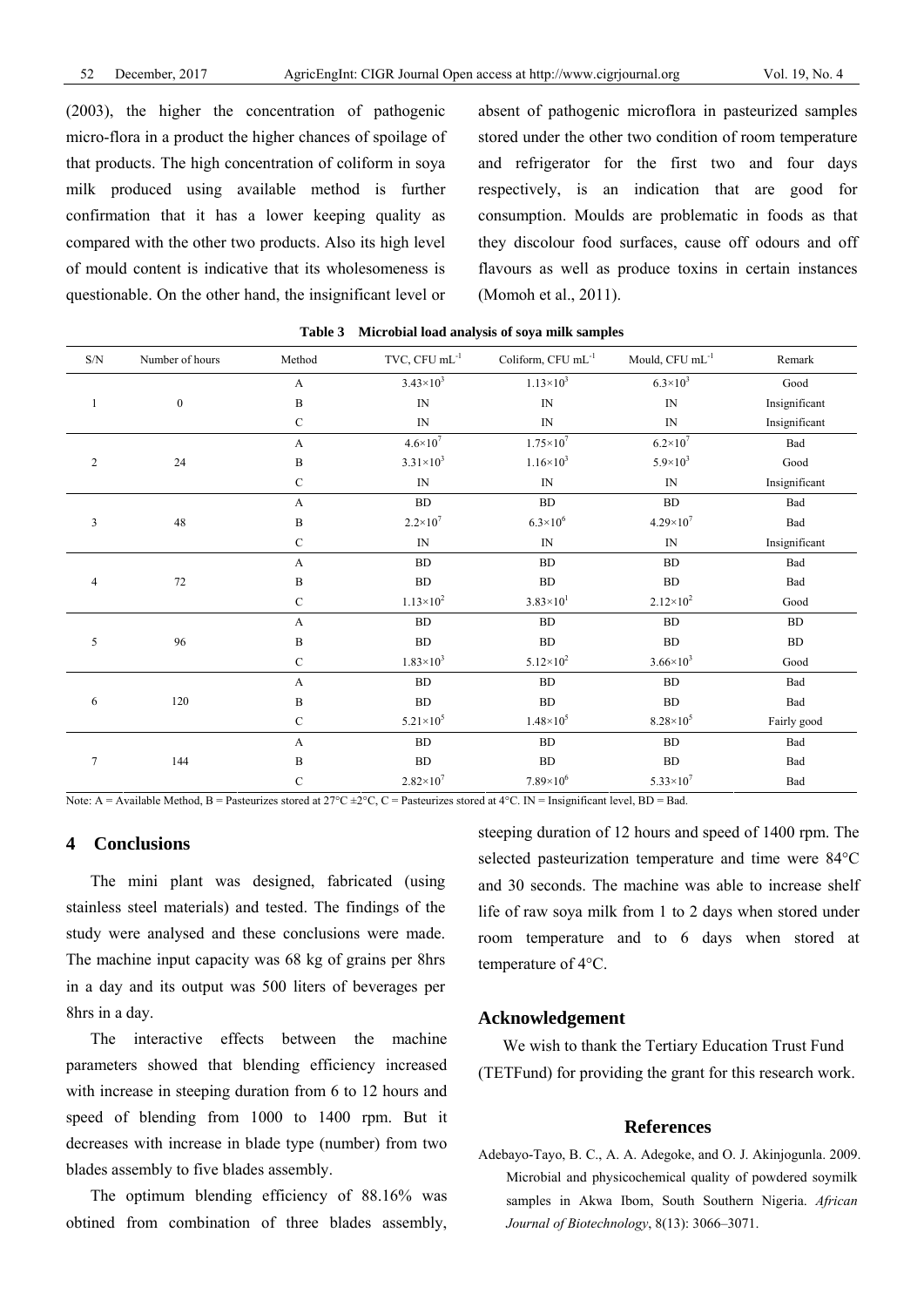(2003), the higher the concentration of pathogenic micro-flora in a product the higher chances of spoilage of that products. The high concentration of coliform in soya milk produced using available method is further confirmation that it has a lower keeping quality as compared with the other two products. Also its high level of mould content is indicative that its wholesomeness is questionable. On the other hand, the insignificant level or

absent of pathogenic microflora in pasteurized samples stored under the other two condition of room temperature and refrigerator for the first two and four days respectively, is an indication that are good for consumption. Moulds are problematic in foods as that they discolour food surfaces, cause off odours and off flavours as well as produce toxins in certain instances (Momoh et al., 2011).

| $\ensuremath{\mathrm{S/N}}$ | Number of hours  | Method        | TVC, $CFU$ mL $^{-1}$    | Coliform, $CFU$ mL $^{-1}$              | Mould, CFU mL <sup>-1</sup> | Remark                |  |  |  |
|-----------------------------|------------------|---------------|--------------------------|-----------------------------------------|-----------------------------|-----------------------|--|--|--|
|                             |                  | $\mathbf{A}$  | $3.43 \times 10^{3}$     | $1.13 \times 10^3$                      | $6.3 \times 10^{3}$         | $\operatorname{Good}$ |  |  |  |
| $\mathbf{1}$                | $\boldsymbol{0}$ | $\, {\bf B}$  | IN                       | IN                                      | ${\rm IN}$                  | Insignificant         |  |  |  |
|                             |                  | $\mathcal{C}$ | IN                       | IN                                      | ${\rm IN}$                  | Insignificant         |  |  |  |
|                             |                  | $\mathbf{A}$  | $4.6 \times 10^{7}$      | $1.75 \times 10^{7}$                    | $6.2\times10^7$             | Bad                   |  |  |  |
| $\overline{2}$              | 24               | $\, {\bf B}$  | $3.31 \times 10^3$       | $1.16 \times 10^3$                      | $5.9 \times 10^{3}$         | Good                  |  |  |  |
|                             |                  | $\mathbf C$   | $\ensuremath{\text{IN}}$ | IN                                      | ${\rm IN}$                  | Insignificant         |  |  |  |
|                             |                  | $\mathbf{A}$  | ${\bf BD}$               | ${\rm BD}$                              | ${\rm BD}$                  | Bad                   |  |  |  |
| 3                           | 48               | B             | $2.2 \times 10^{7}$      | $6.3 \times 10^{6}$                     | $4.29\times10^{7}$          | Bad                   |  |  |  |
|                             |                  | $\mathbf C$   | IN                       | $\ensuremath{\mathop{\rm IN}\nolimits}$ | ${\rm IN}$                  | Insignificant         |  |  |  |
|                             |                  | A             | <b>BD</b>                | <b>BD</b>                               | <b>BD</b>                   | Bad                   |  |  |  |
| $\overline{4}$              | 72               | $\, {\bf B}$  | ${\rm BD}$               | ${\rm BD}$                              | ${\rm BD}$                  | Bad                   |  |  |  |
|                             |                  | $\mathbf C$   | $1.13 \times 10^{2}$     | $3.83 \times 10^{1}$                    | $2.12 \times 10^{2}$        | Good                  |  |  |  |
|                             |                  | A             | BD                       | <b>BD</b>                               | BD                          | BD                    |  |  |  |
| 5                           | 96               | $\, {\bf B}$  | ${\bf BD}$               | ${\rm BD}$                              | BD                          | BD                    |  |  |  |
|                             |                  | $\mathbf C$   | $1.83 \times 10^3$       | $5.12\times10^{2}$                      | $3.66 \times 10^3$          | Good                  |  |  |  |
|                             |                  | $\mathbf{A}$  | BD                       | BD                                      | ${\rm BD}$                  | Bad                   |  |  |  |
| 6                           | 120              | $\, {\bf B}$  | ${\rm BD}$               | ${\rm BD}$                              | ${\rm BD}$                  | Bad                   |  |  |  |
|                             |                  | $\mathbf C$   | $5.21 \times 10^{5}$     | $1.48 \times 10^5$                      | $8.28\times10^5$            | Fairly good           |  |  |  |
|                             |                  | $\mathbf{A}$  | ${\bf BD}$               | ${\rm BD}$                              | ${\rm BD}$                  | Bad                   |  |  |  |
| $\tau$                      | 144              | $\, {\bf B}$  | BD                       | BD                                      | <b>BD</b>                   | Bad                   |  |  |  |
|                             |                  | $\mathbf C$   | $2.82 \times 10^{7}$     | $7.89\times10^{6}$                      | $5.33 \times 10^7$          | Bad                   |  |  |  |

**Table 3 Microbial load analysis of soya milk samples**

Note: A = Available Method, B = Pasteurizes stored at  $27^{\circ}C \pm 2^{\circ}C$ , C = Pasteurizes stored at  $4^{\circ}C$ . IN = Insignificant level, BD = Bad.

# **4 Conclusions**

The mini plant was designed, fabricated (using stainless steel materials) and tested. The findings of the study were analysed and these conclusions were made. The machine input capacity was 68 kg of grains per 8hrs in a day and its output was 500 liters of beverages per 8hrs in a day.

The interactive effects between the machine parameters showed that blending efficiency increased with increase in steeping duration from 6 to 12 hours and speed of blending from 1000 to 1400 rpm. But it decreases with increase in blade type (number) from two blades assembly to five blades assembly.

The optimum blending efficiency of 88.16% was obtined from combination of three blades assembly,

steeping duration of 12 hours and speed of 1400 rpm. The selected pasteurization temperature and time were 84°C and 30 seconds. The machine was able to increase shelf life of raw soya milk from 1 to 2 days when stored under room temperature and to 6 days when stored at temperature of 4°C.

### **Acknowledgement**

We wish to thank the Tertiary Education Trust Fund (TETFund) for providing the grant for this research work.

### **References**

Adebayo-Tayo, B. C., A. A. Adegoke, and O. J. Akinjogunla. 2009. Microbial and physicochemical quality of powdered soymilk samples in Akwa Ibom, South Southern Nigeria. *African Journal of Biotechnology*, 8(13): 3066–3071.